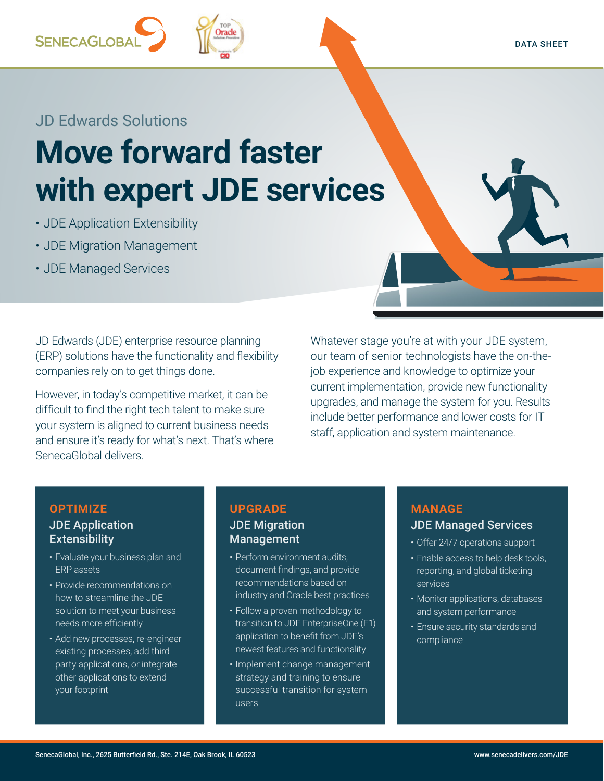## **SENECAGLOBA**

### JD Edwards Solutions

# **Move forward faster with expert JDE services**

**Tracle** 

- JDE Application Extensibility
- JDE Migration Management
- JDE Managed Services

JD Edwards (JDE) enterprise resource planning (ERP) solutions have the functionality and flexibility companies rely on to get things done.

However, in today's competitive market, it can be difficult to find the right tech talent to make sure your system is aligned to current business needs and ensure it's ready for what's next. That's where SenecaGlobal delivers.

Whatever stage you're at with your JDE system, our team of senior technologists have the on-thejob experience and knowledge to optimize your current implementation, provide new functionality upgrades, and manage the system for you. Results include better performance and lower costs for IT staff, application and system maintenance.

#### **OPTIMIZE** JDE Application **Extensibility**

- Evaluate your business plan and ERP assets
- Provide recommendations on how to streamline the JDE solution to meet your business needs more efficiently
- Add new processes, re-engineer existing processes, add third party applications, or integrate other applications to extend your footprint

#### **UPGRADE** JDE Migration Management

- Perform environment audits, document findings, and provide recommendations based on industry and Oracle best practices
- Follow a proven methodology to transition to JDE EnterpriseOne (E1) application to benefit from JDE's newest features and functionality
- Implement change management strategy and training to ensure successful transition for system users

## **MANAGE**

#### JDE Managed Services

- Offer 24/7 operations support
- Enable access to help desk tools, reporting, and global ticketing services
- Monitor applications, databases and system performance
- Ensure security standards and compliance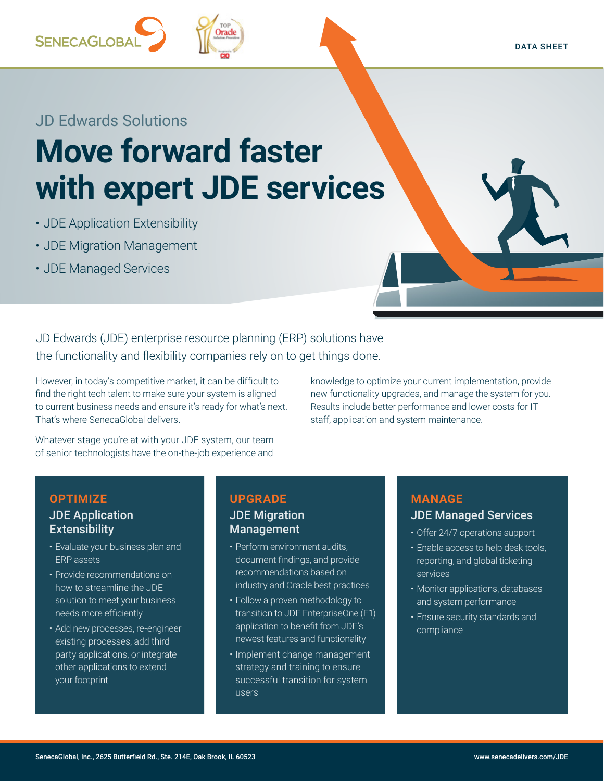# **SENECAGLOBA**

### JD Edwards Solutions

## **Move forward faster with expert JDE services**

- JDE Application Extensibility
- JDE Migration Management
- JDE Managed Services

JD Edwards (JDE) enterprise resource planning (ERP) solutions have the functionality and flexibility companies rely on to get things done.

However, in today's competitive market, it can be difficult to find the right tech talent to make sure your system is aligned to current business needs and ensure it's ready for what's next. That's where SenecaGlobal delivers.

Whatever stage you're at with your JDE system, our team of senior technologists have the on-the-job experience and

knowledge to optimize your current implementation, provide new functionality upgrades, and manage the system for you. Results include better performance and lower costs for IT staff, application and system maintenance.

#### **OPTIMIZE** JDE Application **Extensibility**

- Evaluate your business plan and ERP assets
- Provide recommendations on how to streamline the JDE solution to meet your business needs more efficiently
- Add new processes, re-engineer existing processes, add third party applications, or integrate other applications to extend your footprint

#### **UPGRADE**

#### JDE Migration Management

- Perform environment audits, document findings, and provide recommendations based on industry and Oracle best practices
- Follow a proven methodology to transition to JDE EnterpriseOne (E1) application to benefit from JDE's newest features and functionality
- Implement change management strategy and training to ensure successful transition for system users

#### **MANAGE**

#### JDE Managed Services

- Offer 24/7 operations support
- Enable access to help desk tools, reporting, and global ticketing services
- Monitor applications, databases and system performance
- Ensure security standards and compliance